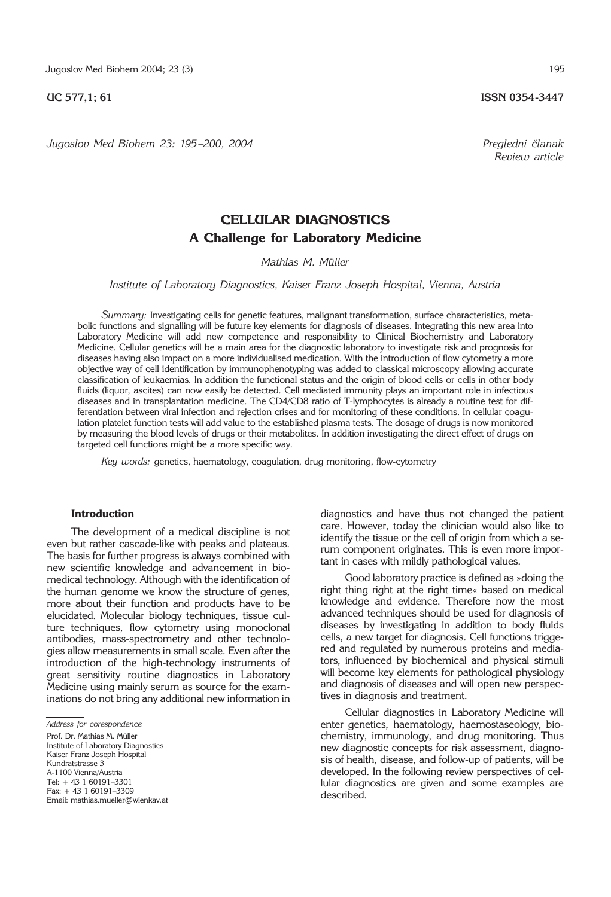# **UC 577.1; 61 ISSN 0354-3447**

*Jugoslov Med Biohem 23: 195 –200, 2004 Pregledni ~lanak*

# **CELLULAR DIAGNOSTICS A Challenge for Laboratory Medicine**

*Mathias M. MÏller*

*Institute of Laboratory Diagnostics, Kaiser Franz Joseph Hospital, Vienna, Austria*

*Summary:* Investigating cells for genetic features, malignant transformation, surface characteristics, metabolic functions and signalling will be future key elements for diagnosis of diseases. Integrating this new area into Laboratory Medicine will add new competence and responsibility to Clinical Biochemistry and Laboratory Medicine. Cellular genetics will be a main area for the diagnostic laboratory to investigate risk and prognosis for diseases having also impact on a more individualised medication. With the introduction of flow cytometry a more objective way of cell identification by immunophenotyping was added to classical microscopy allowing accurate classification of leukaemias. In addition the functional status and the origin of blood cells or cells in other body fluids (liquor, ascites) can now easily be detected. Cell mediated immunity plays an important role in infectious diseases and in transplantation medicine. The CD4/CD8 ratio of T-lymphocytes is already a routine test for differentiation between viral infection and rejection crises and for monitoring of these conditions. In cellular coagulation platelet function tests will add value to the established plasma tests. The dosage of drugs is now monitored by measuring the blood levels of drugs or their metabolites. In addition investigating the direct effect of drugs on targeted cell functions might be a more specific way.

*Key words:* genetics, haematology, coagulation, drug monitoring, flow-cytometry

## **Introduction**

The development of a medical discipline is not even but rather cascade-like with peaks and plateaus. The basis for further progress is always combined with new scientific knowledge and advancement in biomedical technology. Although with the identification of the human genome we know the structure of genes, more about their function and products have to be elucidated. Molecular biology techniques, tissue culture techniques, flow cytometry using monoclonal antibodies, mass-spectrometry and other technologies allow measurements in small scale. Even after the introduction of the high-technology instruments of great sensitivity routine diagnostics in Laboratory Medicine using mainly serum as source for the examinations do not bring any additional new information in

*Address for corespondence* Prof. Dr. Mathias M. Müller Institute of Laboratory Diagnostics Kaiser Franz Joseph Hospital Kundratstrasse 3 A-1100 Vienna/Austria  $Tel + 43 1 60191 - 3301$  $Fax + 43 1 60191 - 3309$ Email: mathias.mueller@wienkav.at diagnostics and have thus not changed the patient care. However, today the clinician would also like to identify the tissue or the cell of origin from which a serum component originates. This is even more important in cases with mildly pathological values.

Good laboratory practice is defined as »doing the right thing right at the right time« based on medical knowledge and evidence. Therefore now the most advanced techniques should be used for diagnosis of diseases by investigating in addition to body fluids cells, a new target for diagnosis. Cell functions triggered and regulated by numerous proteins and mediators, influenced by biochemical and physical stimuli will become key elements for pathological physiology and diagnosis of diseases and will open new perspectives in diagnosis and treatment.

Cellular diagnostics in Laboratory Medicine will enter genetics, haematology, haemostaseology, biochemistry, immunology, and drug monitoring. Thus new diagnostic concepts for risk assessment, diagnosis of health, disease, and follow-up of patients, will be developed. In the following review perspectives of cellular diagnostics are given and some examples are described.

*Review article*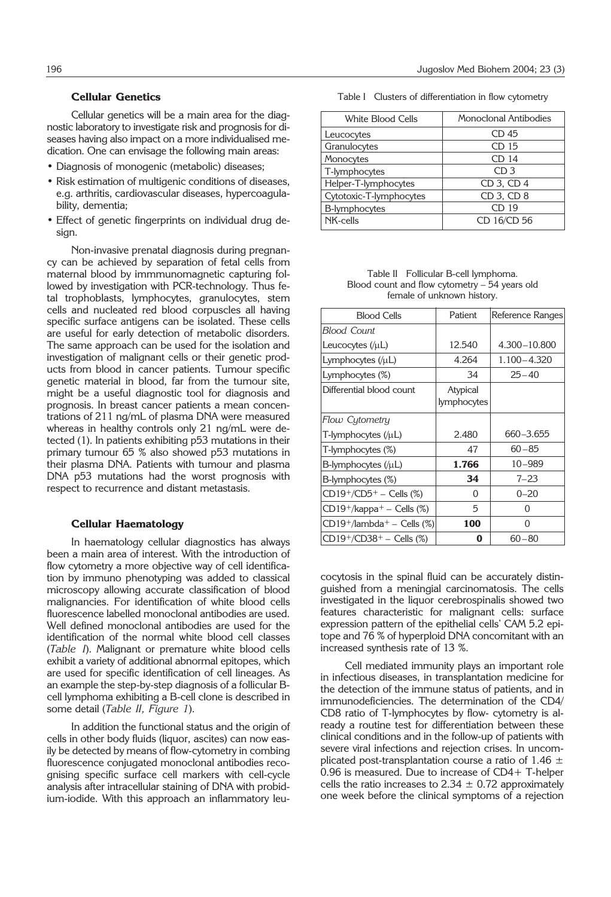# **Cellular Genetics**

Cellular genetics will be a main area for the diagnostic laboratory to investigate risk and prognosis for diseases having also impact on a more individualised medication. One can envisage the following main areas:

- Diagnosis of monogenic (metabolic) diseases;
- Risk estimation of multigenic conditions of diseases, e.g. arthritis, cardiovascular diseases, hypercoagulability, dementia;
- Effect of genetic fingerprints on individual drug desian.

Non-invasive prenatal diagnosis during pregnancy can be achieved by separation of fetal cells from maternal blood by immmunomagnetic capturing followed by investigation with PCR-technology. Thus fetal trophoblasts, lymphocytes, granulocytes, stem cells and nucleated red blood corpuscles all having specific surface antigens can be isolated. These cells are useful for early detection of metabolic disorders. The same approach can be used for the isolation and investigation of malignant cells or their genetic products from blood in cancer patients. Tumour specific genetic material in blood, far from the tumour site, might be a useful diagnostic tool for diagnosis and prognosis. In breast cancer patients a mean concentrations of 211 ng/mL of plasma DNA were measured whereas in healthy controls only 21 ng/mL were detected (1). In patients exhibiting p53 mutations in their primary tumour 65 % also showed p53 mutations in their plasma DNA. Patients with tumour and plasma DNA p53 mutations had the worst prognosis with respect to recurrence and distant metastasis.

#### **Cellular Haematology**

In haematology cellular diagnostics has always been a main area of interest. With the introduction of flow cytometry a more objective way of cell identification by immuno phenotyping was added to classical microscopy allowing accurate classification of blood malignancies. For identification of white blood cells fluorescence labelled monoclonal antibodies are used. Well defined monoclonal antibodies are used for the identification of the normal white blood cell classes (*Table I*). Malignant or premature white blood cells exhibit a variety of additional abnormal epitopes, which are used for specific identification of cell lineages. As an example the step-by-step diagnosis of a follicular Bcell lymphoma exhibiting a B-cell clone is described in some detail (*Table II, Figure 1*).

In addition the functional status and the origin of cells in other body fluids (liquor, ascites) can now easily be detected by means of flow-cytometry in combing fluorescence conjugated monoclonal antibodies recognising specific surface cell markers with cell-cycle analysis after intracellular staining of DNA with probidium-iodide. With this approach an inflammatory leu-

Table I Clusters of differentiation in flow cytometry

| White Blood Cells       | Monoclonal Antibodies |  |  |
|-------------------------|-----------------------|--|--|
| Leucocytes              | CD 45                 |  |  |
| Granulocytes            | CD 15                 |  |  |
| Monocytes               | CD 14                 |  |  |
| T-lymphocytes           | CD <sub>3</sub>       |  |  |
| Helper-T-lymphocytes    | CD 3, CD 4            |  |  |
| Cytotoxic-T-lymphocytes | CD 3, CD 8            |  |  |
| B-lymphocytes           | CD 19                 |  |  |
| NK-cells                | CD 16/CD 56           |  |  |

Table II Follicular B-cell lymphoma. Blood count and flow cytometry – 54 years old female of unknown history.

| <b>Blood Cells</b>                        | Patient                 | Reference Ranges |  |
|-------------------------------------------|-------------------------|------------------|--|
| Blood Count                               |                         |                  |  |
| Leucocytes $(\mu L)$                      | 12.540                  | 4.300-10.800     |  |
| Lymphocytes $(\mu L)$                     | 4.264                   | $1.100 - 4.320$  |  |
| Lymphocytes (%)                           | 34                      | $25 - 40$        |  |
| Differential blood count                  | Atypical<br>lymphocytes |                  |  |
| Flow Cytometry                            |                         |                  |  |
| $T$ -lymphocytes (/ $\mu$ L)              | 2.480                   | 660-3.655        |  |
| T-lymphocytes (%)                         | 47                      | $60 - 85$        |  |
| $B$ -lymphocytes (/ $\mu$ L)              | 1.766                   | $10 - 989$       |  |
| B-lymphocytes (%)                         | 34                      | $7 - 23$         |  |
| $CD19^+/CD5^+ - Cells$ (%)                | O                       | $0 - 20$         |  |
| $CD19^+/kappa^+ - Cells$ (%)              | 5                       | $\Omega$         |  |
| $CD19^+$ /lambda <sup>+</sup> – Cells (%) | 100                     | 0                |  |
| $CD19^{+}/CD38^{+} -$ Cells (%)           | 0                       | $60 - 80$        |  |

cocytosis in the spinal fluid can be accurately distinguished from a meningial carcinomatosis. The cells investigated in the liquor cerebrospinalis showed two features characteristic for malignant cells: surface expression pattern of the epithelial cells' CAM 5.2 epitope and 76 % of hyperploid DNA concomitant with an increased synthesis rate of 13 %.

Cell mediated immunity plays an important role in infectious diseases, in transplantation medicine for the detection of the immune status of patients, and in immunodeficiencies. The determination of the CD4/ CD8 ratio of T-lymphocytes by flow- cytometry is already a routine test for differentiation between these clinical conditions and in the follow-up of patients with severe viral infections and rejection crises. In uncomplicated post-transplantation course a ratio of 1.46  $\pm$ 0.96 is measured. Due to increase of CD4+ T-helper cells the ratio increases to  $2.34 \pm 0.72$  approximately one week before the clinical symptoms of a rejection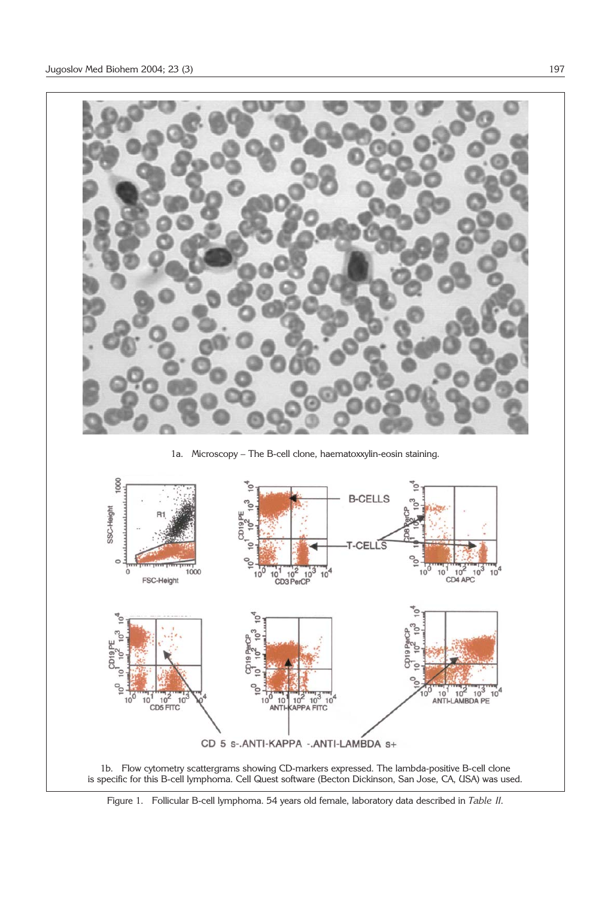

Figure 1. Follicular B-cell lymphoma. 54 years old female, laboratory data described in *Table II.*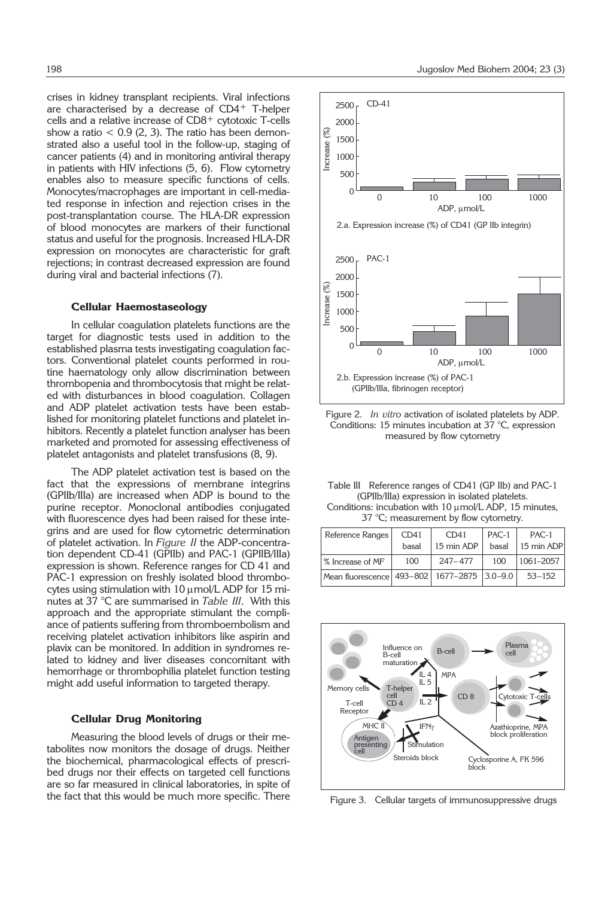crises in kidney transplant recipients. Viral infections are characterised by a decrease of CD4+ T-helper cells and a relative increase of CD8+ cytotoxic T-cells show a ratio  $< 0.9$  (2, 3). The ratio has been demonstrated also a useful tool in the follow-up, staging of cancer patients (4) and in monitoring antiviral therapy in patients with HIV infections (5, 6). Flow cytometry enables also to measure specific functions of cells. Monocytes/macrophages are important in cell-mediated response in infection and rejection crises in the post-transplantation course. The HLA-DR expression of blood monocytes are markers of their functional status and useful for the prognosis. Increased HLA-DR expression on monocytes are characteristic for graft rejections; in contrast decreased expression are found during viral and bacterial infections (7).

#### **Cellular Haemostaseology**

In cellular coagulation platelets functions are the target for diagnostic tests used in addition to the established plasma tests investigating coagulation factors. Conventional platelet counts performed in routine haematology only allow discrimination between thrombopenia and thrombocytosis that might be related with disturbances in blood coagulation. Collagen and ADP platelet activation tests have been established for monitoring platelet functions and platelet inhibitors. Recently a platelet function analyser has been marketed and promoted for assessing effectiveness of platelet antagonists and platelet transfusions (8, 9).

The ADP platelet activation test is based on the fact that the expressions of membrane integrins (GPIIb/IIIa) are increased when ADP is bound to the purine receptor. Monoclonal antibodies conjugated with fluorescence dyes had been raised for these integrins and are used for flow cytometric determination of platelet activation. In *Figure II* the ADP-concentration dependent CD-41 (GPIIb) and PAC-1 (GPIIB/IIIa) expression is shown. Reference ranges for CD 41 and PAC-1 expression on freshly isolated blood thrombocytes using stimulation with  $10 \mu$ mol/L ADP for  $15 \text{ mi}$ nutes at 37 °C are summarised in *Table III*. With this approach and the appropriate stimulant the compliance of patients suffering from thromboembolism and receiving platelet activation inhibitors like aspirin and plavix can be monitored. In addition in syndromes related to kidney and liver diseases concomitant with hemorrhage or thrombophilia platelet function testing might add useful information to targeted therapy.

#### **Cellular Drug Monitoring**

Measuring the blood levels of drugs or their metabolites now monitors the dosage of drugs. Neither the biochemical, pharmacological effects of prescribed drugs nor their effects on targeted cell functions are so far measured in clinical laboratories, in spite of the fact that this would be much more specific. There



Figure 2. *In vitro* activation of isolated platelets by ADP. Conditions: 15 minutes incubation at 37 °C, expression measured by flow cytometry

|                                                | Table III Reference ranges of CD41 (GP IIb) and PAC-1       |  |  |  |
|------------------------------------------------|-------------------------------------------------------------|--|--|--|
| (GPIIb/IIIa) expression in isolated platelets. |                                                             |  |  |  |
|                                                | Conditions: incubation with $10 \mu$ mol/L ADP, 15 minutes, |  |  |  |
|                                                | 37 °C; measurement by flow cytometry.                       |  |  |  |

| Reference Ranges                                  | CD41  | CD41        | PAC-1 | PAC-1      |
|---------------------------------------------------|-------|-------------|-------|------------|
|                                                   | basal | 15 min ADP  | basal | 15 min ADP |
| % Increase of MF                                  | 100   | $247 - 477$ | 100   | 1061-2057  |
| Mean fluorescence   493–802   1677–2875   3.0–9.0 |       |             |       | $53 - 152$ |



Figure 3. Cellular targets of immunosuppressive drugs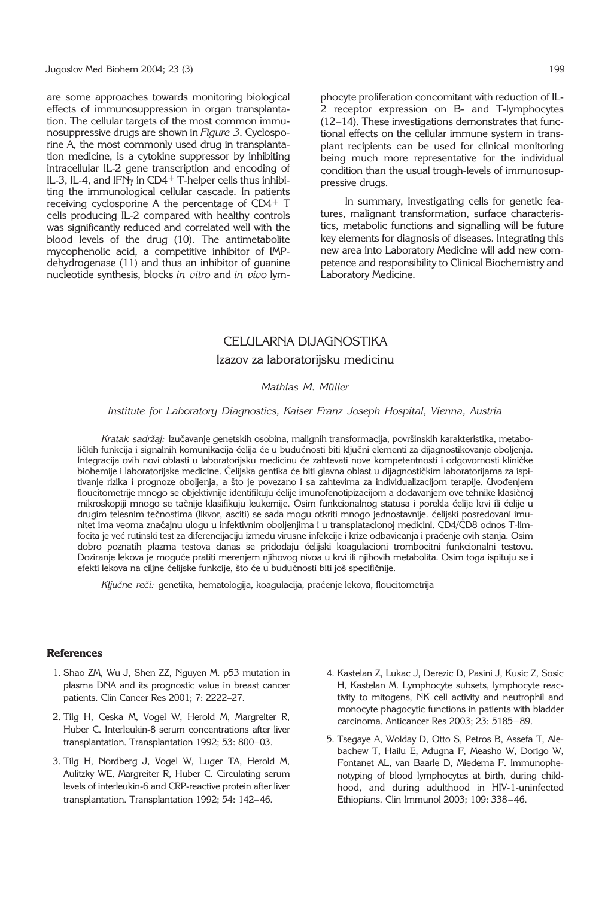are some approaches towards monitoring biological effects of immunosuppression in organ transplantation. The cellular targets of the most common immunosuppressive drugs are shown in *Figure 3*. Cyclosporine A, the most commonly used drug in transplantation medicine, is a cytokine suppressor by inhibiting intracellular IL-2 gene transcription and encoding of IL-3, IL-4, and IFN $\gamma$  in CD4<sup>+</sup> T-helper cells thus inhibiting the immunological cellular cascade. In patients receiving cyclosporine A the percentage of CD4+ T cells producing IL-2 compared with healthy controls was significantly reduced and correlated well with the blood levels of the drug (10). The antimetabolite mycophenolic acid, a competitive inhibitor of IMPdehydrogenase (11) and thus an inhibitor of guanine nucleotide synthesis, blocks *in vitro* and *in vivo* lymphocyte proliferation concomitant with reduction of IL-2 receptor expression on B- and T-lymphocytes (12–14). These investigations demonstrates that functional effects on the cellular immune system in transplant recipients can be used for clinical monitoring being much more representative for the individual condition than the usual trough-levels of immunosuppressive drugs.

In summary, investigating cells for genetic features, malignant transformation, surface characteristics, metabolic functions and signalling will be future key elements for diagnosis of diseases. Integrating this new area into Laboratory Medicine will add new competence and responsibility to Clinical Biochemistry and Laboratory Medicine.

# CELULARNA DIJAGNOSTIKA Izazov za laboratorijsku medicinu

## *Mathias M. MÏller*

### *Institute for Laboratory Diagnostics, Kaiser Franz Joseph Hospital, Vienna, Austria*

Kratak sadržaj: Izučavanje genetskih osobina, malignih transformacija, površinskih karakteristika, metaboličkih funkcija i signalnih komunikacija ćelija će u budućnosti biti ključni elementi za dijagnostikovanje oboljenja. Integracija ovih novi oblasti u laboratorijsku medicinu će zahtevati nove kompetentnosti i odgovornosti kliničke biohemije i laboratorijske medicine. Ćelijska gentika će biti glavna oblast u dijagnostičkim laboratorijama za ispitivanje rizika i prognoze oboljenja, a što je povezano i sa zahtevima za individualizacijom terapije. Uvođenjem floucitometrije mnogo se objektivnije identifikuju ćelije imunofenotipizacijom a dodavanjem ove tehnike klasičnoj mikroskopiji mnogo se tačnije klasifikuju leukemije. Osim funkcionalnog statusa i porekla ćelije krvi ili ćelije u drugim telesnim tečnostima (likvor, asciti) se sada mogu otkriti mnogo jednostavnije. ćelijski posredovani imunitet ima veoma značajnu ulogu u infektivnim oboljenjima i u transplatacionoj medicini. CD4/CD8 odnos T-limfocita je već rutinski test za diferencijaciju između virusne infekcije i krize odbavicanja i praćenje ovih stanja. Osim dobro poznatih plazma testova danas se pridodaju ćelijski koagulacioni trombocitni funkcionalni testovu. Doziranje lekova je moguće pratiti merenjem njihovog nivoa u krvi ili njihovih metabolita. Osim toga ispituju se i efekti lekova na ciljne ćelijske funkcije, što će u budućnosti biti još specifičnije.

Ključne reči: genetika, hematologija, koagulacija, praćenje lekova, floucitometrija

### **References**

- 1. Shao ZM, Wu J, Shen ZZ, Nguyen M. p53 mutation in plasma DNA and its prognostic value in breast cancer patients. Clin Cancer Res 2001; 7: 2222–27.
- 2. Tilg H, Ceska M, Vogel W, Herold M, Margreiter R, Huber C. Interleukin-8 serum concentrations after liver transplantation. Transplantation 1992; 53: 800–03.
- 3. Tilg H, Nordberg J, Vogel W, Luger TA, Herold M, Aulitzky WE, Margreiter R, Huber C. Circulating serum levels of interleukin-6 and CRP-reactive protein after liver transplantation. Transplantation 1992; 54: 142–46.
- 4. Kastelan Z, Lukac J, Derezic D, Pasini J, Kusic Z, Sosic H, Kastelan M. Lymphocyte subsets, lymphocyte reactivity to mitogens, NK cell activity and neutrophil and monocyte phagocytic functions in patients with bladder carcinoma. Anticancer Res 2003; 23: 5185–89.
- 5. Tsegaye A, Wolday D, Otto S, Petros B, Assefa T, Alebachew T, Hailu E, Adugna F, Measho W, Dorigo W, Fontanet AL, van Baarle D, Miedema F. Immunophenotyping of blood lymphocytes at birth, during childhood, and during adulthood in HIV-1-uninfected Ethiopians. Clin Immunol 2003; 109: 338–46.